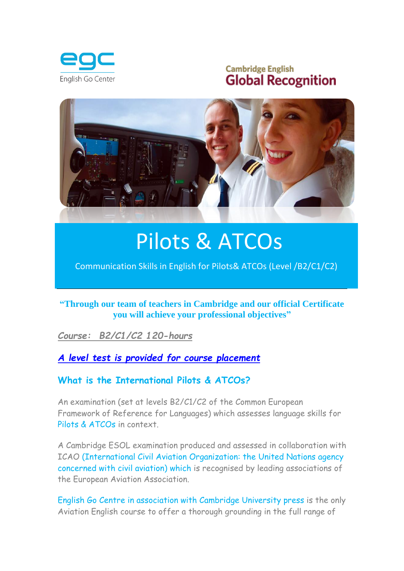

## **Cambridge English Global Recognition**



# Pilots & ATCOs

[Communication Skills in English for Pilots& ATCOs \(Level /B2/C1/C2\)](http://www.google.es/url?sa=i&rct=j&q=aviation+academy&source=images&cd=&cad=rja&docid=F4RSeECGnSaZXM&tbnid=6mXpk4p31m9e7M:&ved=0CAUQjRw&url=http://www.cae.com/civil-aviation/&ei=mbiTUa7_B-iM0AW2u4CwCQ&bvm=bv.46471029,d.ZGU&psig=AFQjCNHK-DtkGu6kioKtNdtCngg4ADpOiQ&ust=1368721892843591)

#### **"Through our team of teachers in Cambridge and our official Certificate you will achieve your professional objectives"**

#### *Course: B2/C1/C2 120-hours*

#### *[A level test is provided for course placement](../EnglishUnlimited_All_Test_WrittenTest.pdf)*

#### **What is the International Pilots & ATCOs?**

An examination (set at levels B2/C1/C2 of the Common European Framework of Reference for Languages) which assesses language skills for Pilots & ATCOs in context.

A Cambridge ESOL examination produced and assessed in collaboration with ICAO (International Civil Aviation Organization: the United Nations agency concerned with civil aviation) which is recognised by leading associations of the European Aviation Association.

English Go Centre in association with Cambridge University press is the only Aviation English course to offer a thorough grounding in the full range of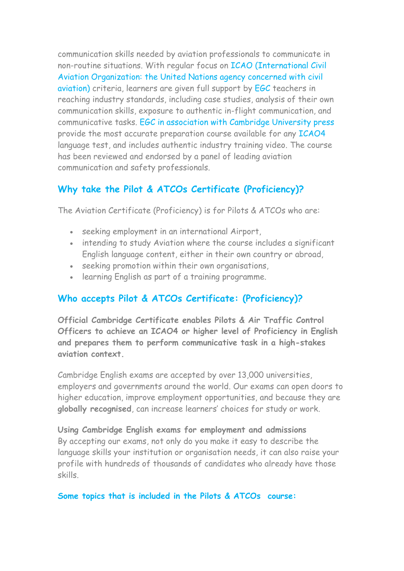communication skills needed by aviation professionals to communicate in non-routine situations. With regular focus on ICAO (International Civil Aviation Organization: the United Nations agency concerned with civil aviation) criteria, learners are given full support by EGC teachers in reaching industry standards, including case studies, analysis of their own communication skills, exposure to authentic in-flight communication, and communicative tasks. EGC in association with Cambridge University press provide the most accurate preparation course available for any ICAO4 language test, and includes authentic industry training video. The course has been reviewed and endorsed by a panel of leading aviation communication and safety professionals.

## **Why take the Pilot & ATCOs Certificate (Proficiency)?**

The Aviation Certificate (Proficiency) is for Pilots & ATCOs who are:

- seeking employment in an international Airport,
- intending to study Aviation where the course includes a significant English language content, either in their own country or abroad,
- seeking promotion within their own organisations,
- learning English as part of a training programme.

## **Who accepts Pilot & ATCOs Certificate: (Proficiency)?**

**Official Cambridge Certificate enables Pilots & Air Traffic Control Officers to achieve an ICAO4 or higher level of Proficiency in English and prepares them to perform communicative task in a high-stakes aviation context.** 

Cambridge English exams are accepted by over 13,000 universities, employers and governments around the world. Our exams can open doors to higher education, improve employment opportunities, and because they are **globally recognised**, can increase learners' choices for study or work.

**Using Cambridge English exams for employment and admissions** By accepting our exams, not only do you make it easy to describe the language skills your institution or organisation needs, it can also raise your profile with hundreds of thousands of candidates who already have those skills.

**Some topics that is included in the Pilots & ATCOs course:**